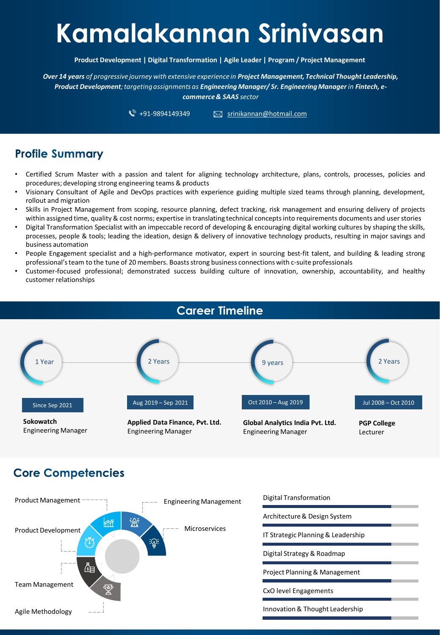# **Kamalakannan Srinivasan**

**Product Development | Digital Transformation | Agile Leader | Program / Project Management**

*Over 14 years of progressive journey with extensive experience in Project Management, Technical Thought Leadership, Product Development; targeting assignments as Engineering Manager/ Sr. Engineering Manager in Fintech, ecommerce & SAAS sector* 

 $\sqrt[3]{}$  +91-9894149349  $\boxtimes$  srinikannan@hotmail.com

# **Profile Summary**

- Certified Scrum Master with a passion and talent for aligning technology architecture, plans, controls, processes, policies and procedures; developing strong engineering teams & products
- Visionary Consultant of Agile and DevOps practices with experience guiding multiple sized teams through planning, development, rollout and migration
- Skills in Project Management from scoping, resource planning, defect tracking, risk management and ensuring delivery of projects within assigned time, quality & cost norms; expertise in translating technical concepts into requirements documents and user stories
- Digital Transformation Specialist with an impeccable record of developing & encouraging digital working cultures by shaping the skills, processes, people & tools; leading the ideation, design & delivery of innovative technology products, resulting in major savings and business automation
- People Engagement specialist and a high-performance motivator, expert in sourcing best-fit talent, and building & leading strong professional'steam to the tune of 20 members. Boastsstrong business connectionswith c-suite professionals
- Customer-focused professional; demonstrated success building culture of innovation, ownership, accountability, and healthy customer relationships



# **Core Competencies**

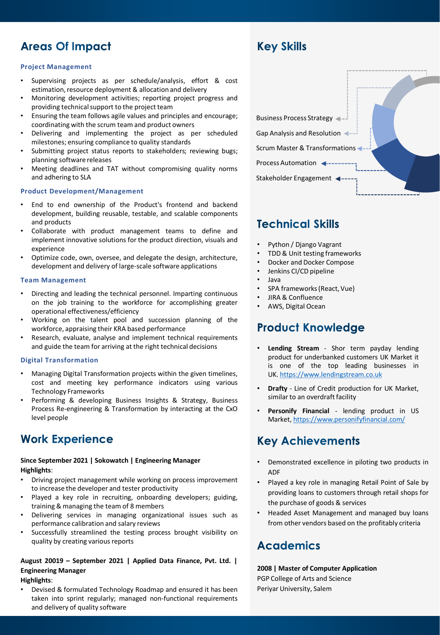# **Areas Of Impact**

### **Project Management**

- Supervising projects as per schedule/analysis, effort & cost estimation, resource deployment & allocation and delivery
- Monitoring development activities; reporting project progress and providing technical support to the project team
- Ensuring the team follows agile values and principles and encourage; coordinating with the scrum team and product owners
- Delivering and implementing the project as per scheduled milestones; ensuring compliance to quality standards
- Submitting project status reports to stakeholders; reviewing bugs; planning software releases
- Meeting deadlines and TAT without compromising quality norms and adhering to SLA

### **Product Development/Management**

- End to end ownership of the Product's frontend and backend development, building reusable, testable, and scalable components and products
- Collaborate with product management teams to define and implement innovative solutions for the product direction, visuals and experience
- Optimize code, own, oversee, and delegate the design, architecture, development and delivery of large-scale software applications

#### **Team Management**

- Directing and leading the technical personnel. Imparting continuous on the job training to the workforce for accomplishing greater operational effectiveness/efficiency
- Working on the talent pool and succession planning of the workforce, appraising their KRA based performance
- Research, evaluate, analyse and implement technical requirements and guide the team for arriving at the right technical decisions

### **Digital Transformation**

- Managing Digital Transformation projects within the given timelines, cost and meeting key performance indicators using various Technology Frameworks
- Performing & developing Business Insights & Strategy, Business Process Re-engineering & Transformation by interacting at the CxO level people

### **Work Experience**

### **Since September 2021 | Sokowatch | Engineering Manager Highlights**:

- Driving project management while working on process improvement to increase the developer and tester productivity
- Played a key role in recruiting, onboarding developers; guiding, training & managing the team of 8 members
- Delivering services in managing organizational issues such as performance calibration and salary reviews
- Successfully streamlined the testing process brought visibility on quality by creating various reports

### **August 20019 – September 2021 | Applied Data Finance, Pvt. Ltd. | Engineering Manager**

#### **Highlights**:

• Devised & formulated Technology Roadmap and ensured it has been taken into sprint regularly; managed non-functional requirements and delivery of quality software



### **Technical Skills**

**Key Skills** 

- Python / Django Vagrant
- TDD & Unit testing frameworks
- Docker and Docker Compose
- Jenkins CI/CD pipeline
- Java
- SPA frameworks(React, Vue)
- JIRA & Confluence
- AWS, Digital Ocean

### **Product Knowledge**

- **Lending Stream** Shor term payday lending product for underbanked customers UK Market it is one of the top leading businesses in UK. [https://www.lendingstream.co.uk](https://www.lendingstream.co.uk/)
- **Drafty** Line of Credit production for UK Market, similar to an overdraft facility
- **Personify Financial** lending product in US Market, <https://www.personifyfinancial.com/>

## **Key Achievements**

- Demonstrated excellence in piloting two products in ADF
- Played a key role in managing Retail Point of Sale by providing loans to customers through retail shops for the purchase of goods & services
- Headed Asset Management and managed buy loans from other vendors based on the profitably criteria

### **Academics**

**2008 | Master of Computer Application** PGP College of Arts and Science Periyar University, Salem